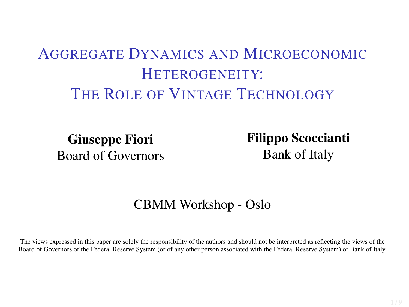## AGGREGATE DYNAMICS AND MICROECONOMIC HETEROGENEITY: THE ROLE OF VINTAGE TECHNOLOGY

Giuseppe Fiori Board of Governors Filippo Scoccianti Bank of Italy

#### CBMM Workshop - Oslo

The views expressed in this paper are solely the responsibility of the authors and should not be interpreted as reflecting the views of the Board of Governors of the Federal Reserve System (or of any other person associated with the Federal Reserve System) or Bank of Italy.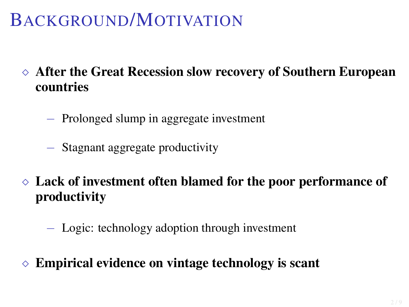# BACKGROUND/MOTIVATION

- After the Great Recession slow recovery of Southern European countries
	- − Prolonged slump in aggregate investment
	- − Stagnant aggregate productivity
- $\Diamond$  Lack of investment often blamed for the poor performance of productivity
	- − Logic: technology adoption through investment
- Empirical evidence on vintage technology is scant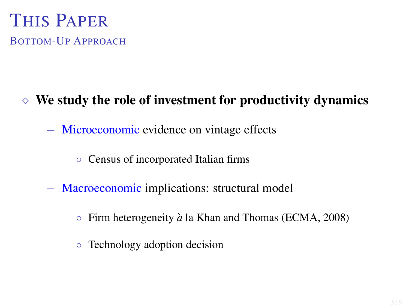## THIS PAPER BOTTOM-UP APPROACH

#### $\Diamond$  We study the role of investment for productivity dynamics

− Microeconomic evidence on vintage effects

◦ Census of incorporated Italian firms

- − Macroeconomic implications: structural model
	- Firm heterogeneity `*a* la Khan and Thomas (ECMA, 2008)
	- Technology adoption decision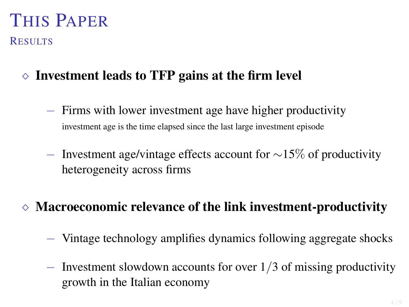# THIS PAPER

**RESULTS** 

- $\Diamond$  Investment leads to TFP gains at the firm level
	- − Firms with lower investment age have higher productivity investment age is the time elapsed since the last large investment episode
	- − Investment age/vintage effects account for  $\sim$ 15% of productivity heterogeneity across firms

#### Macroeconomic relevance of the link investment-productivity

- − Vintage technology amplifies dynamics following aggregate shocks
- − Investment slowdown accounts for over 1/3 of missing productivity growth in the Italian economy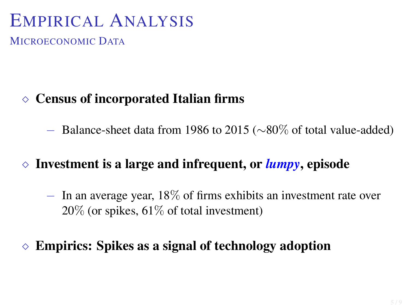## EMPIRICAL ANALYSIS

MICROECONOMIC DATA

#### $\Diamond$  Census of incorporated Italian firms

 $-$  Balance-sheet data from 1986 to 2015 ( $\sim$ 80% of total value-added)

#### $\Diamond$  Investment is a large and infrequent, or *lumpy*, episode

− In an average year, 18% of firms exhibits an investment rate over 20% (or spikes, 61% of total investment)

#### $\Diamond$  Empirics: Spikes as a signal of technology adoption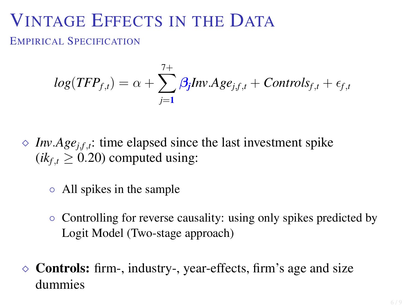## VINTAGE EFFECTS IN THE DATA

EMPIRICAL SPECIFICATION

$$
log(TFP_{f,t}) = \alpha + \sum_{j=1}^{7+} \beta_j Inv.Age_{j,f,t} + Controls_{f,t} + \epsilon_{f,t}
$$

- $\Diamond$  *Inv.Age*<sub>*j*</sub>*f*,*t*: time elapsed since the last investment spike  $(ik<sub>f,t</sub> > 0.20)$  computed using:
	- All spikes in the sample
	- Controlling for reverse causality: using only spikes predicted by Logit Model (Two-stage approach)
- $\Diamond$  Controls: firm-, industry-, year-effects, firm's age and size dummies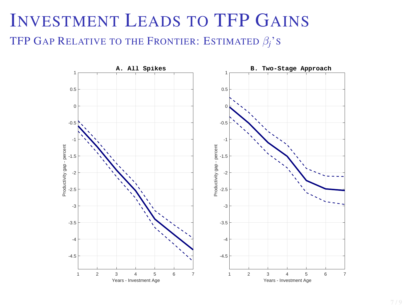## INVESTMENT LEADS TO TFP GAINS TFP GAP RELATIVE TO THE FRONTIER: ESTIMATED β*j*'S

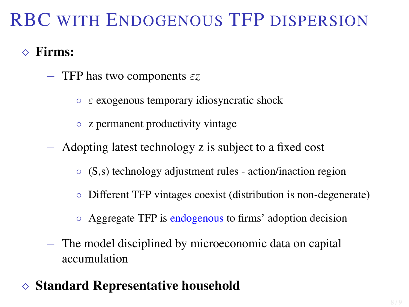# RBC WITH ENDOGENOUS TFP DISPERSION

#### $\Diamond$  Firms:

- − TFP has two components ε*z*
	- $\circ$   $\varepsilon$  exogenous temporary idiosyncratic shock
	- z permanent productivity vintage
- − Adopting latest technology z is subject to a fixed cost
	- (S,s) technology adjustment rules action/inaction region
	- Different TFP vintages coexist (distribution is non-degenerate)
	- Aggregate TFP is endogenous to firms' adoption decision
- − The model disciplined by microeconomic data on capital accumulation
- $\diamond$  Standard Representative household